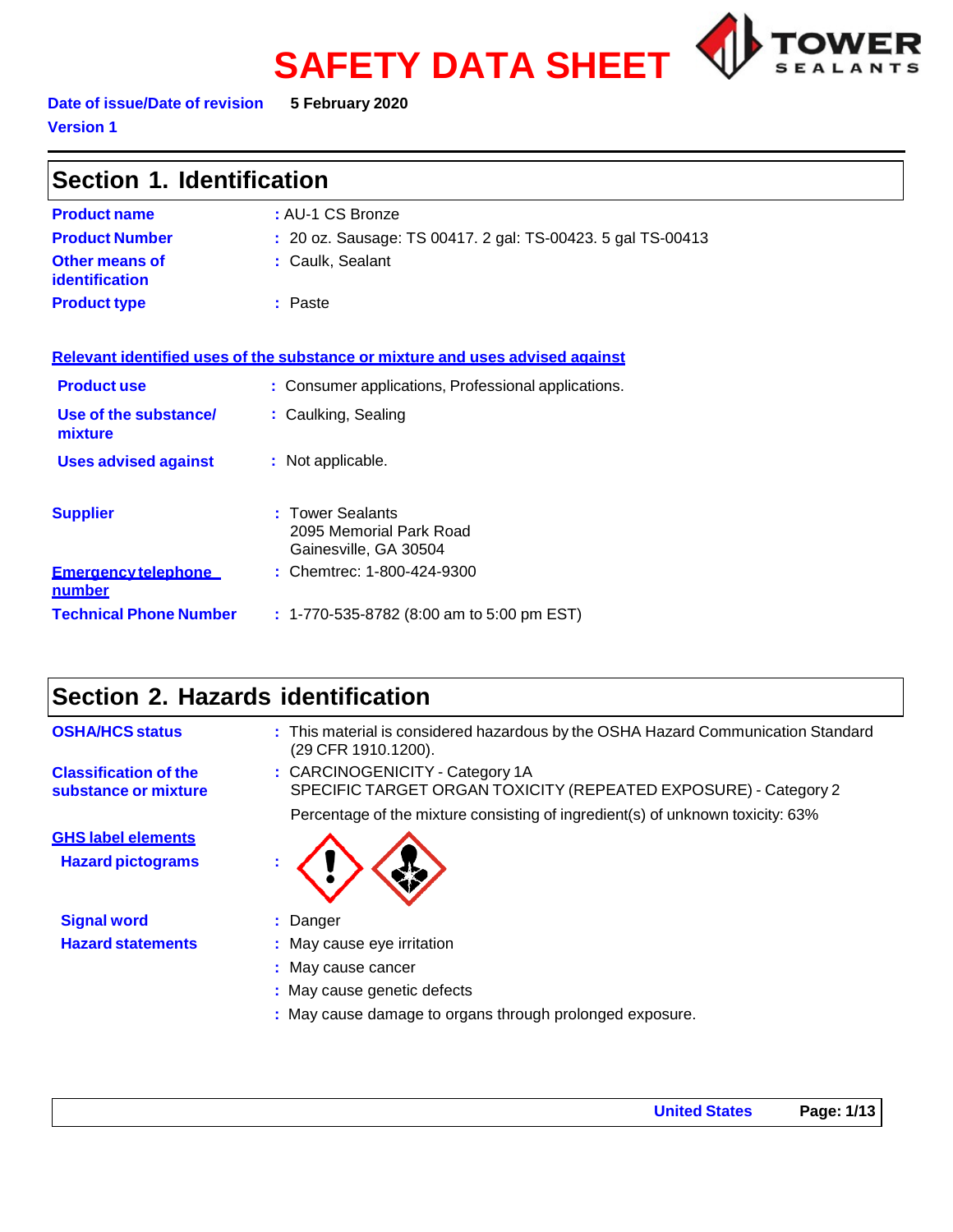# **SAFETY DATA SHEET**



**Date of issue/Date of revision 5 February 2020 Version 1**

| Section 1. Identification                   |                                                                               |
|---------------------------------------------|-------------------------------------------------------------------------------|
| <b>Product name</b>                         | : AU-1 CS Bronze                                                              |
| <b>Product Number</b>                       | : 20 oz. Sausage: TS 00417. 2 gal: TS-00423. 5 gal TS-00413                   |
| Other means of<br><b>identification</b>     | : Caulk, Sealant                                                              |
| <b>Product type</b>                         | : Paste                                                                       |
|                                             | Relevant identified uses of the substance or mixture and uses advised against |
| <b>Product use</b>                          | : Consumer applications, Professional applications.                           |
| Use of the substance/<br>mixture            | : Caulking, Sealing                                                           |
| <b>Uses advised against</b>                 | : Not applicable.                                                             |
| <b>Supplier</b>                             | : Tower Sealants<br>2095 Memorial Park Road<br>Gainesville, GA 30504          |
| <b>Emergency telephone</b><br><u>number</u> | : Chemtrec: 1-800-424-9300                                                    |
| <b>Technical Phone Number</b>               | $: 1-770-535-8782$ (8:00 am to 5:00 pm EST)                                   |

# **Section 2. Hazards identification**

| <b>OSHA/HCS status</b>                               | : This material is considered hazardous by the OSHA Hazard Communication Standard<br>(29 CFR 1910.1200). |
|------------------------------------------------------|----------------------------------------------------------------------------------------------------------|
| <b>Classification of the</b><br>substance or mixture | : CARCINOGENICITY - Category 1A<br>SPECIFIC TARGET ORGAN TOXICITY (REPEATED EXPOSURE) - Category 2       |
|                                                      | Percentage of the mixture consisting of ingredient(s) of unknown toxicity: 63%                           |
| <b>GHS label elements</b>                            |                                                                                                          |
| <b>Hazard pictograms</b>                             |                                                                                                          |
| <b>Signal word</b>                                   | : Danger                                                                                                 |
| <b>Hazard statements</b>                             | : May cause eye irritation                                                                               |
|                                                      | : May cause cancer                                                                                       |
|                                                      | : May cause genetic defects                                                                              |
|                                                      | : May cause damage to organs through prolonged exposure.                                                 |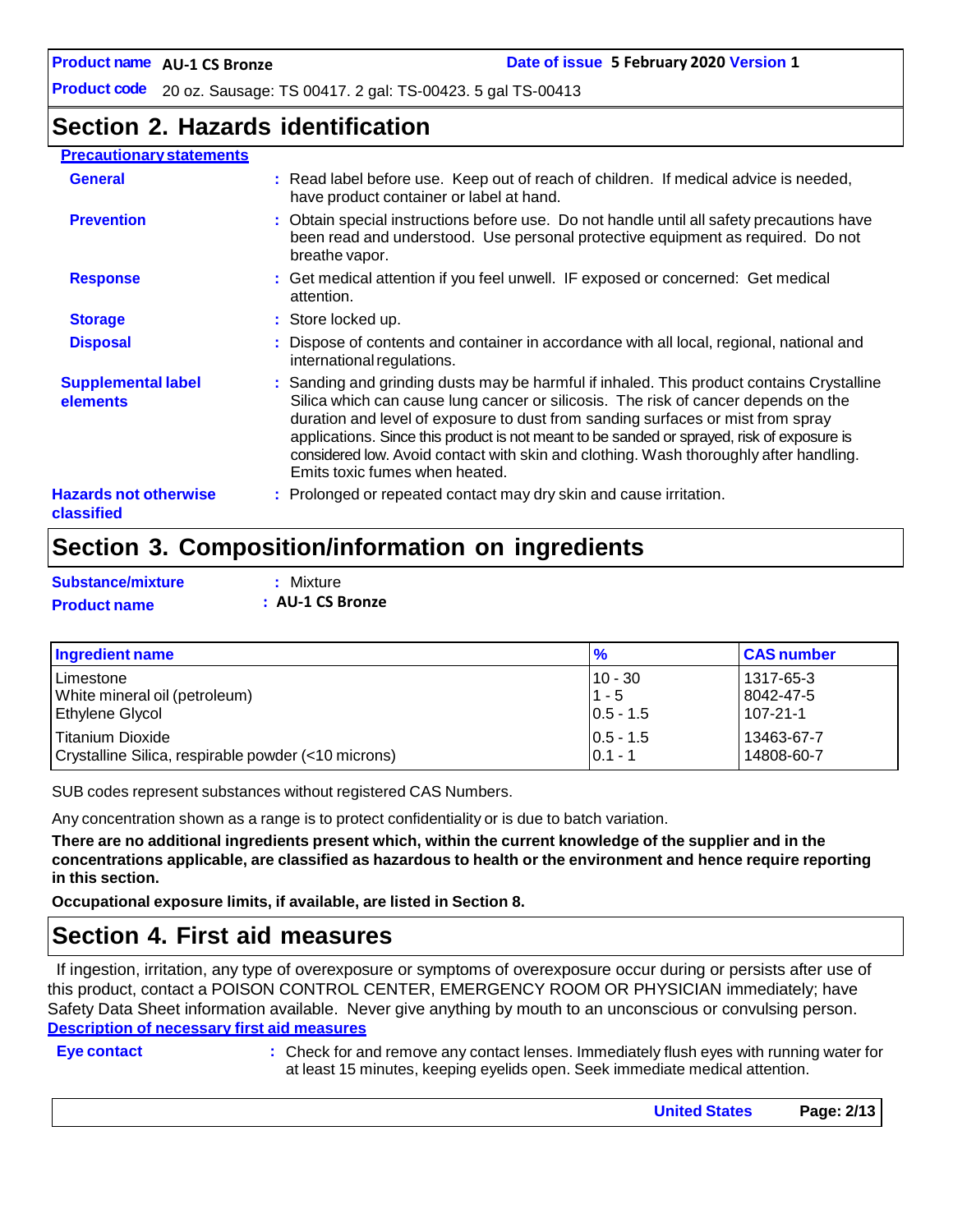# **Section 2. Hazards identification**

### **Precautionary statements**

| <b>General</b>                             | : Read label before use. Keep out of reach of children. If medical advice is needed,<br>have product container or label at hand.                                                                                                                                                                                                                                                                                                                                                            |
|--------------------------------------------|---------------------------------------------------------------------------------------------------------------------------------------------------------------------------------------------------------------------------------------------------------------------------------------------------------------------------------------------------------------------------------------------------------------------------------------------------------------------------------------------|
| <b>Prevention</b>                          | : Obtain special instructions before use. Do not handle until all safety precautions have<br>been read and understood. Use personal protective equipment as required. Do not<br>breathe vapor.                                                                                                                                                                                                                                                                                              |
| <b>Response</b>                            | : Get medical attention if you feel unwell. IF exposed or concerned: Get medical<br>attention.                                                                                                                                                                                                                                                                                                                                                                                              |
| <b>Storage</b>                             | : Store locked up.                                                                                                                                                                                                                                                                                                                                                                                                                                                                          |
| <b>Disposal</b>                            | : Dispose of contents and container in accordance with all local, regional, national and<br>international regulations.                                                                                                                                                                                                                                                                                                                                                                      |
| <b>Supplemental label</b><br>elements      | : Sanding and grinding dusts may be harmful if inhaled. This product contains Crystalline<br>Silica which can cause lung cancer or silicosis. The risk of cancer depends on the<br>duration and level of exposure to dust from sanding surfaces or mist from spray<br>applications. Since this product is not meant to be sanded or sprayed, risk of exposure is<br>considered low. Avoid contact with skin and clothing. Wash thoroughly after handling.<br>Emits toxic fumes when heated. |
| <b>Hazards not otherwise</b><br>classified | : Prolonged or repeated contact may dry skin and cause irritation.                                                                                                                                                                                                                                                                                                                                                                                                                          |

# **Section 3. Composition/information on ingredients**

| Substance/mixture   | : Mixture        |
|---------------------|------------------|
| <b>Product name</b> | : AU-1 CS Bronze |

| Ingredient name                                     | $\frac{9}{6}$ | <b>CAS number</b> |
|-----------------------------------------------------|---------------|-------------------|
| l Limestone                                         | $10 - 30$     | 1317-65-3         |
| White mineral oil (petroleum)                       | $1 - 5$       | 8042-47-5         |
| <b>Ethylene Glycol</b>                              | $0.5 - 1.5$   | 107-21-1          |
| l Titanium Dioxide                                  | $ 0.5 - 1.5 $ | 13463-67-7        |
| Crystalline Silica, respirable powder (<10 microns) | $0.1 - 1$     | 14808-60-7        |

SUB codes represent substances without registered CAS Numbers.

Any concentration shown as a range is to protect confidentiality or is due to batch variation.

There are no additional ingredients present which, within the current knowledge of the supplier and in the **concentrations applicable, are classified as hazardous to health or the environment and hence require reporting in this section.**

**Occupational exposure limits, if available, are listed in Section 8.**

### **Section 4. First aid measures**

If ingestion, irritation, any type of overexposure or symptoms of overexposure occur during or persists after use of this product, contact a POISON CONTROL CENTER, EMERGENCY ROOM OR PHYSICIAN immediately; have Safety Data Sheet information available. Never give anything by mouth to an unconscious or convulsing person. **Description of necessary first aid measures**

**Eye contact :** Check for and remove any contact lenses. Immediately flush eyes with running water for at least 15 minutes, keeping eyelids open. Seek immediate medical attention.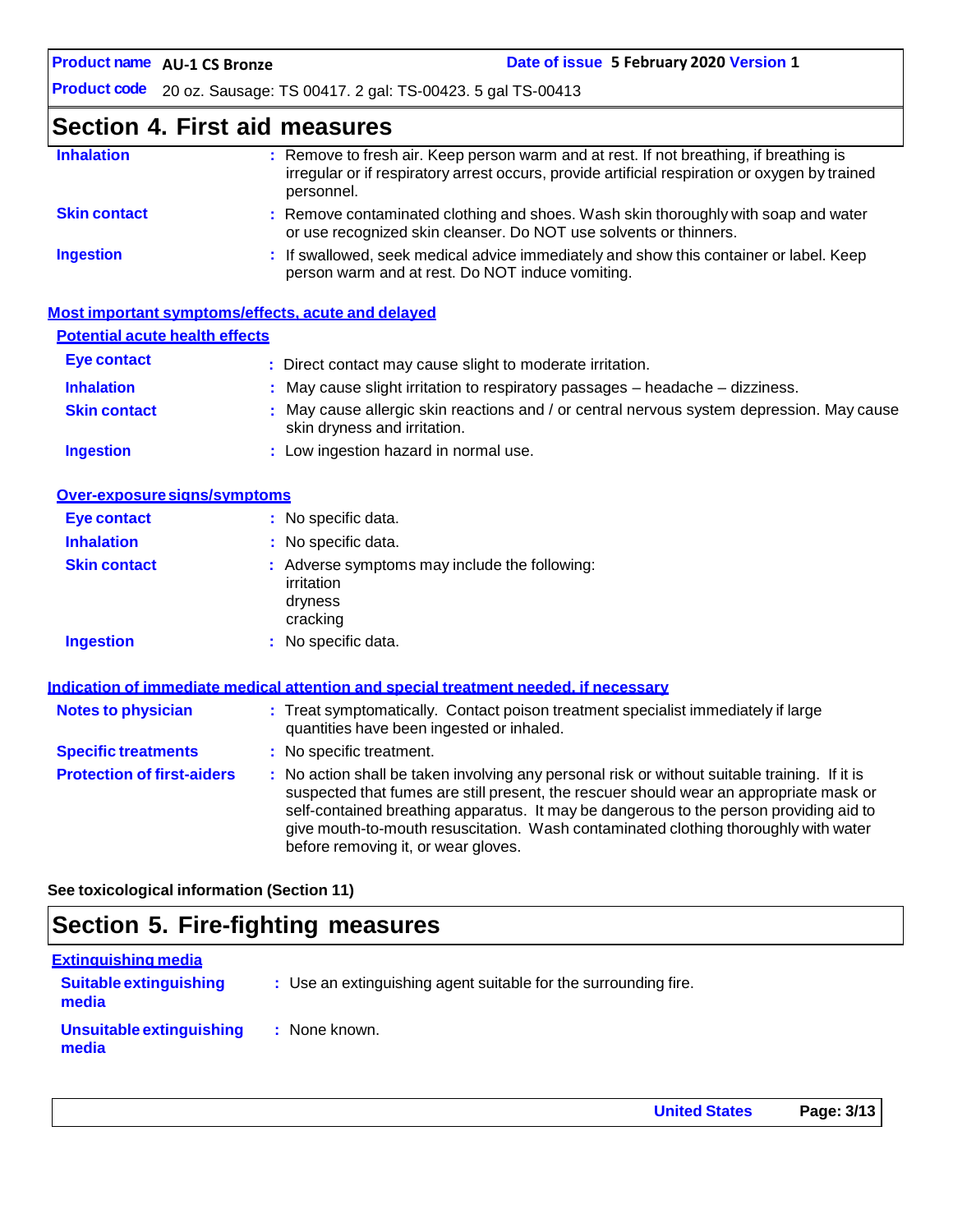# **Section 4. First aid measures**

| : Remove to fresh air. Keep person warm and at rest. If not breathing, if breathing is<br>irregular or if respiratory arrest occurs, provide artificial respiration or oxygen by trained<br>personnel. |
|--------------------------------------------------------------------------------------------------------------------------------------------------------------------------------------------------------|
| : Remove contaminated clothing and shoes. Wash skin thoroughly with soap and water<br>or use recognized skin cleanser. Do NOT use solvents or thinners.                                                |
| : If swallowed, seek medical advice immediately and show this container or label. Keep<br>person warm and at rest. Do NOT induce vomiting.                                                             |
|                                                                                                                                                                                                        |

|                                       | Most important symptoms/effects, acute and delayed                                                                        |
|---------------------------------------|---------------------------------------------------------------------------------------------------------------------------|
| <b>Potential acute health effects</b> |                                                                                                                           |
| Eye contact                           | : Direct contact may cause slight to moderate irritation.                                                                 |
| <b>Inhalation</b>                     | $\therefore$ May cause slight irritation to respiratory passages $-$ headache $-$ dizziness.                              |
| <b>Skin contact</b>                   | : May cause allergic skin reactions and / or central nervous system depression. May cause<br>skin dryness and irritation. |
| <b>Ingestion</b>                      | : Low ingestion hazard in normal use.                                                                                     |

| Over-exposure signs/symptoms |                                                                                    |
|------------------------------|------------------------------------------------------------------------------------|
| Eye contact                  | : No specific data.                                                                |
| <b>Inhalation</b>            | : No specific data.                                                                |
| <b>Skin contact</b>          | : Adverse symptoms may include the following:<br>irritation<br>dryness<br>cracking |
| <b>Ingestion</b>             | : No specific data.                                                                |

|                                   | Indication of immediate medical attention and special treatment needed, if necessary                                                                                                                                                                                                                                                                                                                            |
|-----------------------------------|-----------------------------------------------------------------------------------------------------------------------------------------------------------------------------------------------------------------------------------------------------------------------------------------------------------------------------------------------------------------------------------------------------------------|
| <b>Notes to physician</b>         | : Treat symptomatically. Contact poison treatment specialist immediately if large<br>quantities have been ingested or inhaled.                                                                                                                                                                                                                                                                                  |
| <b>Specific treatments</b>        | : No specific treatment.                                                                                                                                                                                                                                                                                                                                                                                        |
| <b>Protection of first-aiders</b> | : No action shall be taken involving any personal risk or without suitable training. If it is<br>suspected that fumes are still present, the rescuer should wear an appropriate mask or<br>self-contained breathing apparatus. It may be dangerous to the person providing aid to<br>give mouth-to-mouth resuscitation. Wash contaminated clothing thoroughly with water<br>before removing it, or wear gloves. |

**See toxicological information (Section 11)**

# **Section 5. Fire-fighting measures**

| <b>Extinguishing media</b>             |                                                                 |
|----------------------------------------|-----------------------------------------------------------------|
| <b>Suitable extinguishing</b><br>media | : Use an extinguishing agent suitable for the surrounding fire. |
| Unsuitable extinguishing<br>media      | : None known.                                                   |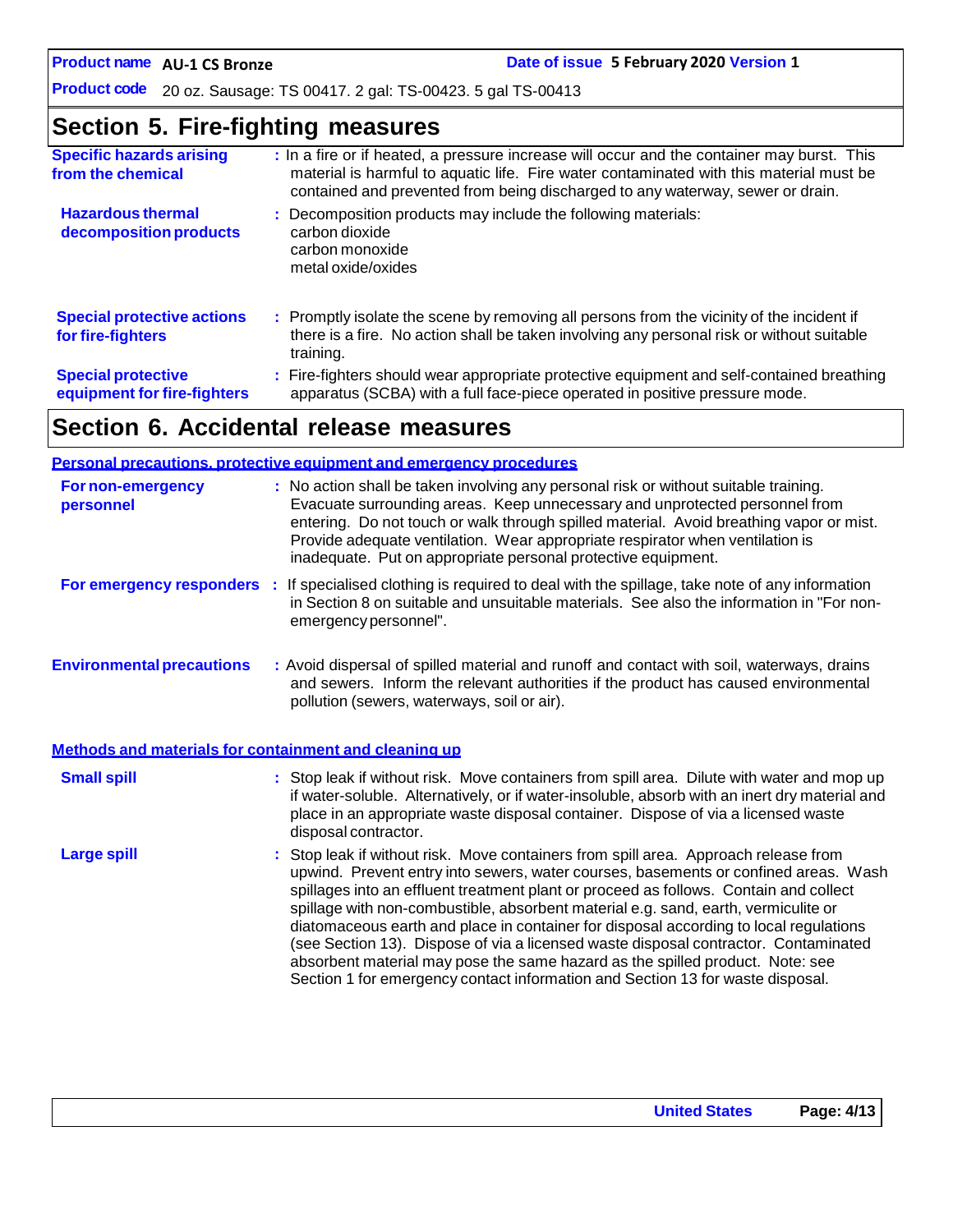**Product code** 20 oz. Sausage: TS 00417. 2 gal: TS-00423. 5 gal TS-00413

# **Section 5. Fire-fighting measures**

| <b>Specific hazards arising</b><br>from the chemical     | : In a fire or if heated, a pressure increase will occur and the container may burst. This<br>material is harmful to aquatic life. Fire water contaminated with this material must be<br>contained and prevented from being discharged to any waterway, sewer or drain. |
|----------------------------------------------------------|-------------------------------------------------------------------------------------------------------------------------------------------------------------------------------------------------------------------------------------------------------------------------|
| <b>Hazardous thermal</b><br>decomposition products       | : Decomposition products may include the following materials:<br>carbon dioxide<br>carbon monoxide<br>metal oxide/oxides                                                                                                                                                |
| <b>Special protective actions</b><br>for fire-fighters   | : Promptly isolate the scene by removing all persons from the vicinity of the incident if<br>there is a fire. No action shall be taken involving any personal risk or without suitable<br>training.                                                                     |
| <b>Special protective</b><br>equipment for fire-fighters | : Fire-fighters should wear appropriate protective equipment and self-contained breathing<br>apparatus (SCBA) with a full face-piece operated in positive pressure mode.                                                                                                |

# **Section 6. Accidental release measures**

|                                                       | <b>Personal precautions, protective equipment and emergency procedures</b>                                                                                                                                                                                                                                                                                                                                                                                                                                                                                                                                                                                                                                   |
|-------------------------------------------------------|--------------------------------------------------------------------------------------------------------------------------------------------------------------------------------------------------------------------------------------------------------------------------------------------------------------------------------------------------------------------------------------------------------------------------------------------------------------------------------------------------------------------------------------------------------------------------------------------------------------------------------------------------------------------------------------------------------------|
| <b>For non-emergency</b><br>personnel                 | : No action shall be taken involving any personal risk or without suitable training.<br>Evacuate surrounding areas. Keep unnecessary and unprotected personnel from<br>entering. Do not touch or walk through spilled material. Avoid breathing vapor or mist.<br>Provide adequate ventilation. Wear appropriate respirator when ventilation is<br>inadequate. Put on appropriate personal protective equipment.                                                                                                                                                                                                                                                                                             |
|                                                       | For emergency responders : If specialised clothing is required to deal with the spillage, take note of any information<br>in Section 8 on suitable and unsuitable materials. See also the information in "For non-<br>emergency personnel".                                                                                                                                                                                                                                                                                                                                                                                                                                                                  |
| <b>Environmental precautions</b>                      | : Avoid dispersal of spilled material and runoff and contact with soil, waterways, drains<br>and sewers. Inform the relevant authorities if the product has caused environmental<br>pollution (sewers, waterways, soil or air).                                                                                                                                                                                                                                                                                                                                                                                                                                                                              |
| Methods and materials for containment and cleaning up |                                                                                                                                                                                                                                                                                                                                                                                                                                                                                                                                                                                                                                                                                                              |
| <b>Small spill</b>                                    | : Stop leak if without risk. Move containers from spill area. Dilute with water and mop up<br>if water-soluble. Alternatively, or if water-insoluble, absorb with an inert dry material and<br>place in an appropriate waste disposal container. Dispose of via a licensed waste<br>disposal contractor.                                                                                                                                                                                                                                                                                                                                                                                                     |
| <b>Large spill</b>                                    | : Stop leak if without risk. Move containers from spill area. Approach release from<br>upwind. Prevent entry into sewers, water courses, basements or confined areas. Wash<br>spillages into an effluent treatment plant or proceed as follows. Contain and collect<br>spillage with non-combustible, absorbent material e.g. sand, earth, vermiculite or<br>diatomaceous earth and place in container for disposal according to local regulations<br>(see Section 13). Dispose of via a licensed waste disposal contractor. Contaminated<br>absorbent material may pose the same hazard as the spilled product. Note: see<br>Section 1 for emergency contact information and Section 13 for waste disposal. |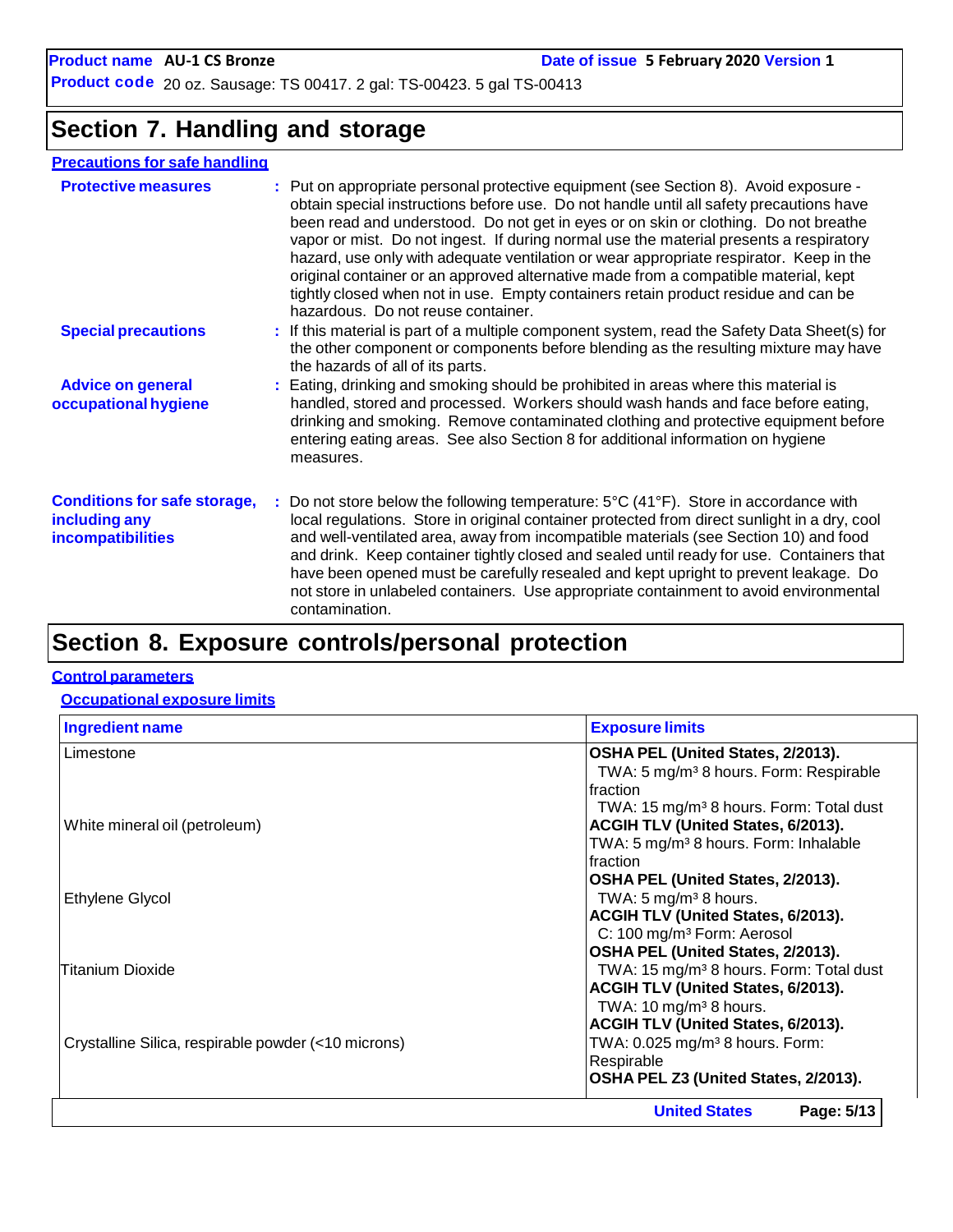# **Section 7. Handling and storage**

### **Precautions for safe handling**

| <b>Protective measures</b>                                                | : Put on appropriate personal protective equipment (see Section 8). Avoid exposure -<br>obtain special instructions before use. Do not handle until all safety precautions have<br>been read and understood. Do not get in eyes or on skin or clothing. Do not breathe<br>vapor or mist. Do not ingest. If during normal use the material presents a respiratory<br>hazard, use only with adequate ventilation or wear appropriate respirator. Keep in the<br>original container or an approved alternative made from a compatible material, kept<br>tightly closed when not in use. Empty containers retain product residue and can be<br>hazardous. Do not reuse container. |
|---------------------------------------------------------------------------|-------------------------------------------------------------------------------------------------------------------------------------------------------------------------------------------------------------------------------------------------------------------------------------------------------------------------------------------------------------------------------------------------------------------------------------------------------------------------------------------------------------------------------------------------------------------------------------------------------------------------------------------------------------------------------|
| <b>Special precautions</b>                                                | : If this material is part of a multiple component system, read the Safety Data Sheet(s) for<br>the other component or components before blending as the resulting mixture may have<br>the hazards of all of its parts.                                                                                                                                                                                                                                                                                                                                                                                                                                                       |
| <b>Advice on general</b><br>occupational hygiene                          | : Eating, drinking and smoking should be prohibited in areas where this material is<br>handled, stored and processed. Workers should wash hands and face before eating,<br>drinking and smoking. Remove contaminated clothing and protective equipment before<br>entering eating areas. See also Section 8 for additional information on hygiene<br>measures.                                                                                                                                                                                                                                                                                                                 |
| <b>Conditions for safe storage,</b><br>including any<br>incompatibilities | : Do not store below the following temperature: $5^{\circ}C(41^{\circ}F)$ . Store in accordance with<br>local regulations. Store in original container protected from direct sunlight in a dry, cool<br>and well-ventilated area, away from incompatible materials (see Section 10) and food<br>and drink. Keep container tightly closed and sealed until ready for use. Containers that<br>have been opened must be carefully resealed and kept upright to prevent leakage. Do<br>not store in unlabeled containers. Use appropriate containment to avoid environmental<br>contamination.                                                                                    |
|                                                                           |                                                                                                                                                                                                                                                                                                                                                                                                                                                                                                                                                                                                                                                                               |

# **Section 8. Exposure controls/personal protection**

### **Control parameters**

### **Occupational exposure limits**

| <b>Ingredient name</b>                              | <b>Exposure limits</b>                              |
|-----------------------------------------------------|-----------------------------------------------------|
| Limestone                                           | OSHA PEL (United States, 2/2013).                   |
|                                                     | TWA: 5 mg/m <sup>3</sup> 8 hours. Form: Respirable  |
|                                                     | Ifraction                                           |
|                                                     | TWA: 15 mg/m <sup>3</sup> 8 hours. Form: Total dust |
| White mineral oil (petroleum)                       | <b>ACGIH TLV (United States, 6/2013).</b>           |
|                                                     | TWA: 5 mg/m <sup>3</sup> 8 hours. Form: Inhalable   |
|                                                     | Ifraction                                           |
|                                                     | OSHA PEL (United States, 2/2013).                   |
| Ethylene Glycol                                     | TWA: $5 \text{ mg/m}^3$ 8 hours.                    |
|                                                     | <b>ACGIH TLV (United States, 6/2013).</b>           |
|                                                     | C: 100 mg/m <sup>3</sup> Form: Aerosol              |
|                                                     | OSHA PEL (United States, 2/2013).                   |
| <b>Titanium Dioxide</b>                             | TWA: 15 mg/m <sup>3</sup> 8 hours. Form: Total dust |
|                                                     | ACGIH TLV (United States, 6/2013).                  |
|                                                     | TWA: $10 \text{ mg/m}^3$ 8 hours.                   |
|                                                     | ACGIH TLV (United States, 6/2013).                  |
| Crystalline Silica, respirable powder (<10 microns) | TWA: 0.025 mg/m <sup>3</sup> 8 hours. Form:         |
|                                                     | Respirable                                          |
|                                                     | OSHA PEL Z3 (United States, 2/2013).                |
|                                                     | <b>United States</b><br>Page: 5/13                  |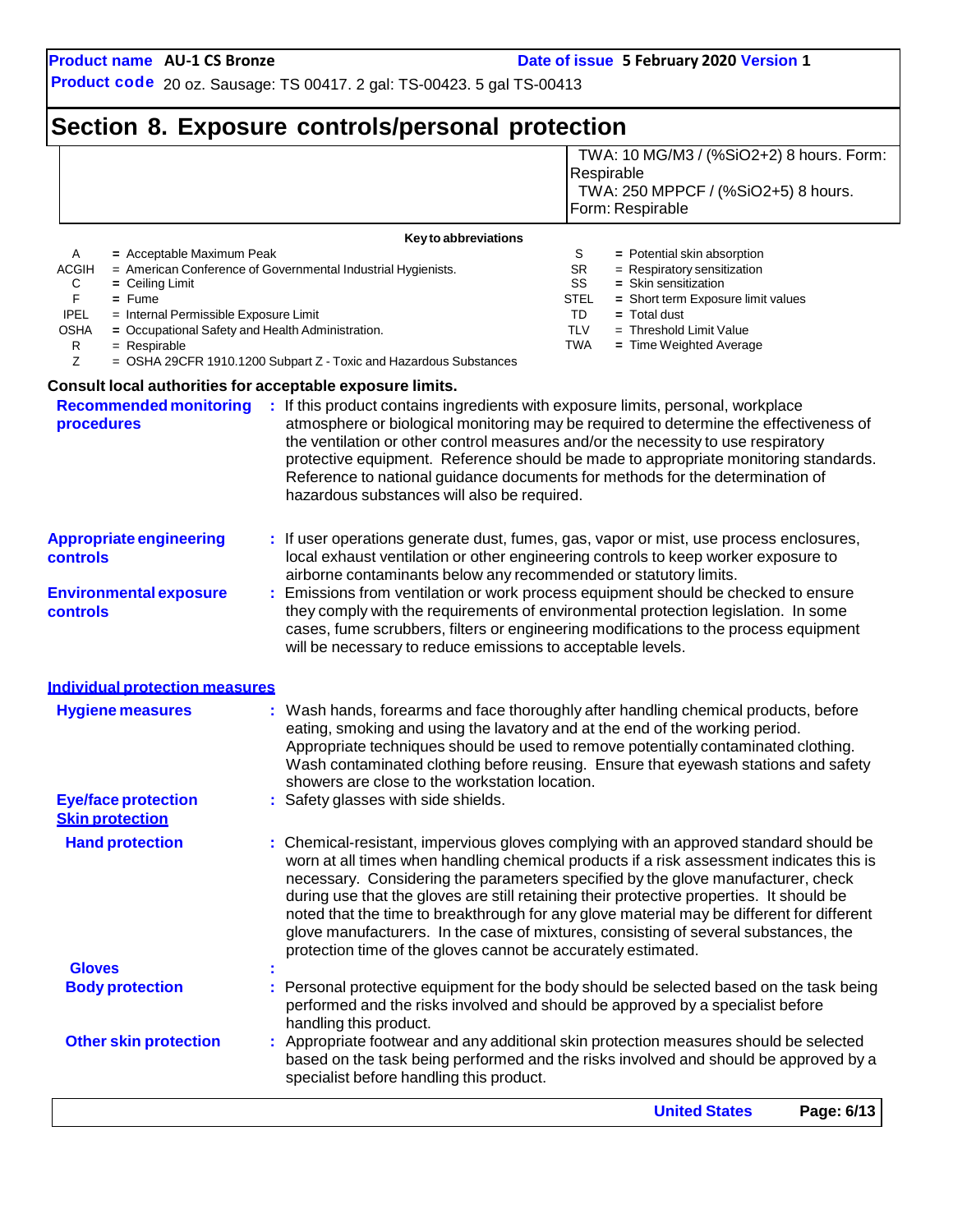# **Section 8. Exposure controls/personal protection**

|                                                                                                                                                                                        |                                                                                                                                                                                                               | TWA: 10 MG/M3 / (%SiO2+2) 8 hours. Form:<br>Respirable<br>TWA: 250 MPPCF / (%SiO2+5) 8 hours.<br>Form: Respirable                                                                                                                                                                                                                                                                                                                                            |
|----------------------------------------------------------------------------------------------------------------------------------------------------------------------------------------|---------------------------------------------------------------------------------------------------------------------------------------------------------------------------------------------------------------|--------------------------------------------------------------------------------------------------------------------------------------------------------------------------------------------------------------------------------------------------------------------------------------------------------------------------------------------------------------------------------------------------------------------------------------------------------------|
| = Acceptable Maximum Peak<br>Α<br>ACGIH<br>С<br>$=$ Ceiling Limit<br>F.<br>$=$ Fume<br><b>IPEL</b><br>= Internal Permissible Exposure Limit<br><b>OSHA</b><br>R<br>$=$ Respirable<br>Z | Key to abbreviations<br>= American Conference of Governmental Industrial Hygienists.<br>= Occupational Safety and Health Administration.<br>= OSHA 29CFR 1910.1200 Subpart Z - Toxic and Hazardous Substances | S<br>= Potential skin absorption<br><b>SR</b><br>= Respiratory sensitization<br>SS<br>= Skin sensitization<br><b>STEL</b><br>= Short term Exposure limit values<br>TD<br>$=$ Total dust<br><b>TLV</b><br>$=$ Threshold Limit Value<br>TWA<br>= Time Weighted Average                                                                                                                                                                                         |
| <b>Recommended monitoring</b><br>procedures                                                                                                                                            | Consult local authorities for acceptable exposure limits.<br>: If this product contains ingredients with exposure limits, personal, workplace<br>hazardous substances will also be required.                  | atmosphere or biological monitoring may be required to determine the effectiveness of<br>the ventilation or other control measures and/or the necessity to use respiratory<br>protective equipment. Reference should be made to appropriate monitoring standards.<br>Reference to national guidance documents for methods for the determination of                                                                                                           |
| <b>Appropriate engineering</b><br><b>controls</b><br><b>Environmental exposure</b><br><b>controls</b>                                                                                  | airborne contaminants below any recommended or statutory limits.<br>will be necessary to reduce emissions to acceptable levels.                                                                               | If user operations generate dust, fumes, gas, vapor or mist, use process enclosures,<br>local exhaust ventilation or other engineering controls to keep worker exposure to<br>Emissions from ventilation or work process equipment should be checked to ensure<br>they comply with the requirements of environmental protection legislation. In some<br>cases, fume scrubbers, filters or engineering modifications to the process equipment                 |
| <b>Individual protection measures</b><br><b>Hygiene measures</b>                                                                                                                       | showers are close to the workstation location.                                                                                                                                                                | : Wash hands, forearms and face thoroughly after handling chemical products, before<br>eating, smoking and using the lavatory and at the end of the working period.<br>Appropriate techniques should be used to remove potentially contaminated clothing.<br>Wash contaminated clothing before reusing. Ensure that eyewash stations and safety                                                                                                              |
| <b>Eye/face protection</b><br><b>Skin protection</b><br><b>Hand protection</b>                                                                                                         | Safety glasses with side shields.                                                                                                                                                                             | : Chemical-resistant, impervious gloves complying with an approved standard should be                                                                                                                                                                                                                                                                                                                                                                        |
|                                                                                                                                                                                        | protection time of the gloves cannot be accurately estimated.                                                                                                                                                 | worn at all times when handling chemical products if a risk assessment indicates this is<br>necessary. Considering the parameters specified by the glove manufacturer, check<br>during use that the gloves are still retaining their protective properties. It should be<br>noted that the time to breakthrough for any glove material may be different for different<br>glove manufacturers. In the case of mixtures, consisting of several substances, the |
| <b>Gloves</b>                                                                                                                                                                          |                                                                                                                                                                                                               |                                                                                                                                                                                                                                                                                                                                                                                                                                                              |
| <b>Body protection</b>                                                                                                                                                                 | handling this product.                                                                                                                                                                                        | Personal protective equipment for the body should be selected based on the task being<br>performed and the risks involved and should be approved by a specialist before                                                                                                                                                                                                                                                                                      |
| <b>Other skin protection</b>                                                                                                                                                           | specialist before handling this product.                                                                                                                                                                      | : Appropriate footwear and any additional skin protection measures should be selected<br>based on the task being performed and the risks involved and should be approved by a                                                                                                                                                                                                                                                                                |
|                                                                                                                                                                                        |                                                                                                                                                                                                               | <b>United States</b><br>Page: 6/13                                                                                                                                                                                                                                                                                                                                                                                                                           |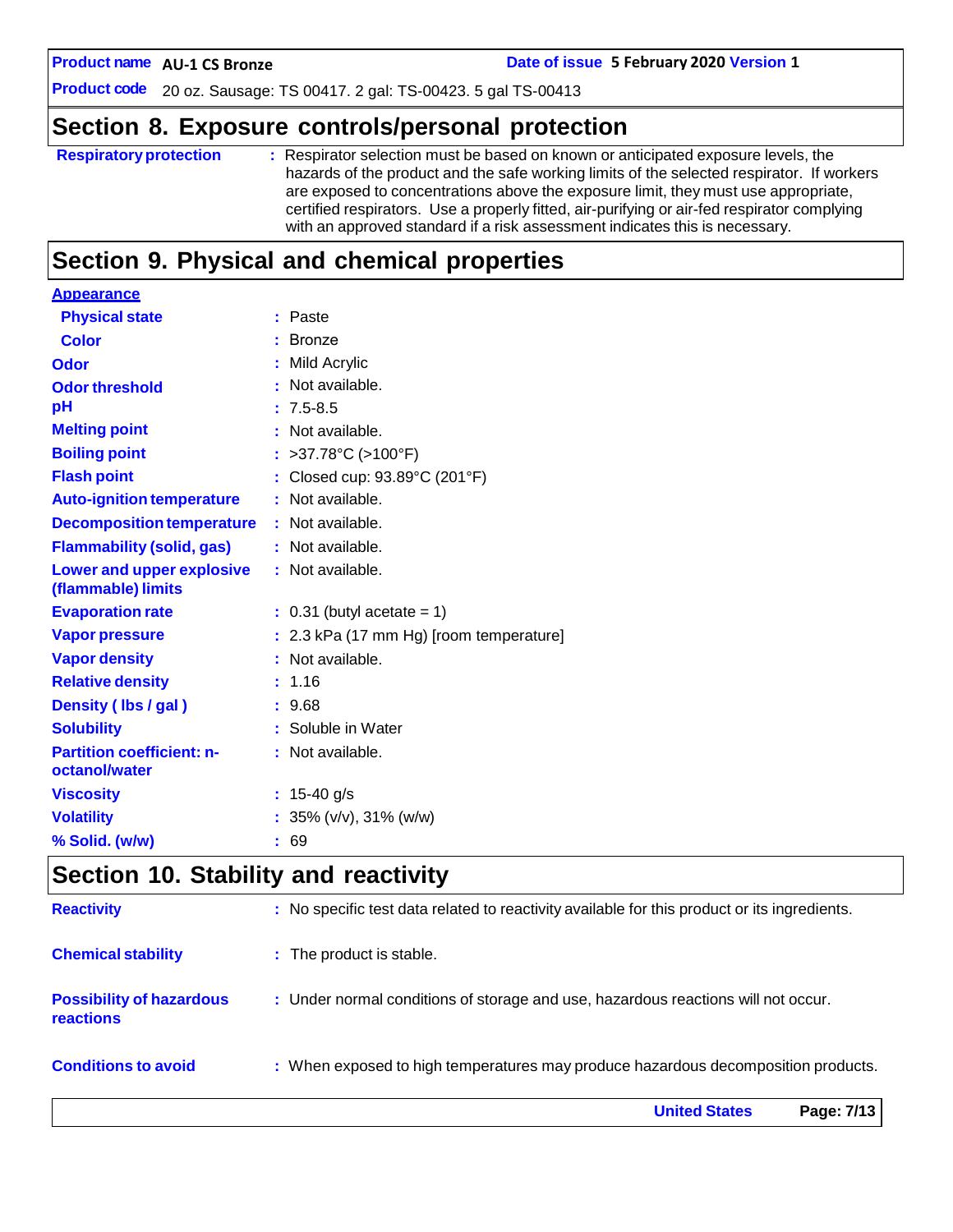**AU-1 CS Bronze Date of issue 5 February 2020 Version 1**

**Product code** 20 oz. Sausage: TS 00417. 2 gal: TS-00423. 5 gal TS-00413

# **Section 8. Exposure controls/personal protection**

| <b>Respiratory protection</b> | : Respirator selection must be based on known or anticipated exposure levels, the<br>hazards of the product and the safe working limits of the selected respirator. If workers<br>are exposed to concentrations above the exposure limit, they must use appropriate,<br>certified respirators. Use a properly fitted, air-purifying or air-fed respirator complying<br>with an approved standard if a risk assessment indicates this is necessary. |
|-------------------------------|----------------------------------------------------------------------------------------------------------------------------------------------------------------------------------------------------------------------------------------------------------------------------------------------------------------------------------------------------------------------------------------------------------------------------------------------------|
|                               |                                                                                                                                                                                                                                                                                                                                                                                                                                                    |

# **Section 9. Physical and chemical properties**

| <b>Appearance</b>                                      |                                         |
|--------------------------------------------------------|-----------------------------------------|
| <b>Physical state</b>                                  | : Paste                                 |
| <b>Color</b>                                           | $:$ Bronze                              |
| Odor                                                   | : Mild Acrylic                          |
| <b>Odor threshold</b>                                  | $\cdot$ Not available.                  |
| рH                                                     | $: 7.5 - 8.5$                           |
| <b>Melting point</b>                                   | : Not available.                        |
| <b>Boiling point</b>                                   | : >37.78°C (>100°F)                     |
| <b>Flash point</b>                                     | : Closed cup: 93.89°C (201°F)           |
| <b>Auto-ignition temperature</b>                       | : Not available.                        |
| <b>Decomposition temperature</b>                       | : Not available.                        |
| <b>Flammability (solid, gas)</b>                       | : Not available.                        |
| <b>Lower and upper explosive</b><br>(flammable) limits | : Not available.                        |
| <b>Evaporation rate</b>                                | $: 0.31$ (butyl acetate = 1)            |
| <b>Vapor pressure</b>                                  | : 2.3 kPa (17 mm Hg) [room temperature] |
| <b>Vapor density</b>                                   | : Not available.                        |
| <b>Relative density</b>                                | : 1.16                                  |
| Density (Ibs / gal)                                    | : 9.68                                  |
| <b>Solubility</b>                                      | : Soluble in Water                      |
| <b>Partition coefficient: n-</b><br>octanol/water      | : Not available.                        |
| <b>Viscosity</b>                                       | : $15-40$ g/s                           |
| <b>Volatility</b>                                      | : $35\%$ (v/v), $31\%$ (w/w)            |
| % Solid. (w/w)                                         | : 69                                    |
|                                                        |                                         |

# **Section 10. Stability and reactivity**

|                                                     | <b>United States</b><br>Page: 7/13                                                           |
|-----------------------------------------------------|----------------------------------------------------------------------------------------------|
| <b>Conditions to avoid</b>                          | : When exposed to high temperatures may produce hazardous decomposition products.            |
| <b>Possibility of hazardous</b><br><b>reactions</b> | : Under normal conditions of storage and use, hazardous reactions will not occur.            |
| <b>Chemical stability</b>                           | : The product is stable.                                                                     |
| <b>Reactivity</b>                                   | : No specific test data related to reactivity available for this product or its ingredients. |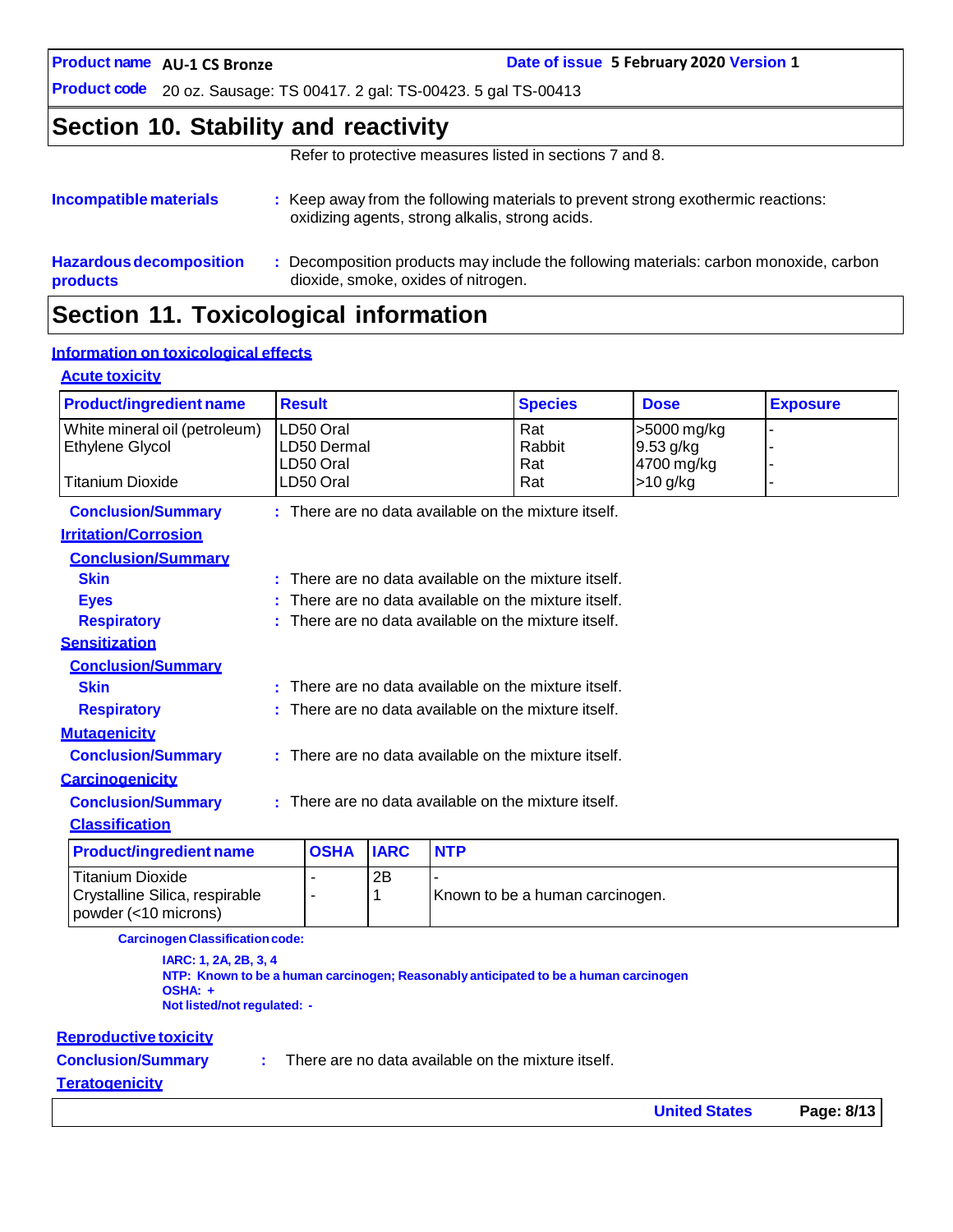**AU-1 CS Bronze Date of issue 5 February 2020 Version 1**

**Product code** 20 oz. Sausage: TS 00417. 2 gal: TS-00423. 5 gal TS-00413

### **Section 10. Stability and reactivity**

Refer to protective measures listed in sections 7 and 8.

| Incompatible materials         | : Keep away from the following materials to prevent strong exothermic reactions:<br>oxidizing agents, strong alkalis, strong acids. |
|--------------------------------|-------------------------------------------------------------------------------------------------------------------------------------|
| <b>Hazardous decomposition</b> | Decomposition products may include the following materials: carbon monoxide, carbon                                                 |
| products                       | dioxide, smoke, oxides of nitrogen.                                                                                                 |

# **Section 11. Toxicological information**

### **Information on toxicological effects**

### **Acute toxicity**

| <b>Product/ingredient name</b>                                             | <b>Result</b>                                        |                                                        |             |            | <b>Species</b>                                       | <b>Dose</b>                            | <b>Exposure</b> |
|----------------------------------------------------------------------------|------------------------------------------------------|--------------------------------------------------------|-------------|------------|------------------------------------------------------|----------------------------------------|-----------------|
| White mineral oil (petroleum)<br>Ethylene Glycol                           |                                                      | LD50 Oral<br>LD50 Dermal<br>LD50 Oral                  |             |            | Rat<br>Rabbit<br>Rat                                 | >5000 mg/kg<br>9.53 g/kg<br>4700 mg/kg |                 |
| Titanium Dioxide                                                           |                                                      | LD50 Oral                                              |             |            | Rat                                                  | >10 g/kg                               |                 |
| <b>Conclusion/Summary</b>                                                  |                                                      |                                                        |             |            | : There are no data available on the mixture itself. |                                        |                 |
| <b>Irritation/Corrosion</b>                                                |                                                      |                                                        |             |            |                                                      |                                        |                 |
| <b>Conclusion/Summary</b>                                                  |                                                      |                                                        |             |            |                                                      |                                        |                 |
| <b>Skin</b>                                                                |                                                      |                                                        |             |            | There are no data available on the mixture itself.   |                                        |                 |
| <b>Eyes</b>                                                                |                                                      |                                                        |             |            | There are no data available on the mixture itself.   |                                        |                 |
| <b>Respiratory</b>                                                         |                                                      |                                                        |             |            | There are no data available on the mixture itself.   |                                        |                 |
| <b>Sensitization</b>                                                       |                                                      |                                                        |             |            |                                                      |                                        |                 |
| <b>Conclusion/Summary</b>                                                  |                                                      |                                                        |             |            |                                                      |                                        |                 |
| <b>Skin</b>                                                                |                                                      | : There are no data available on the mixture itself.   |             |            |                                                      |                                        |                 |
| <b>Respiratory</b>                                                         |                                                      | $:$ There are no data available on the mixture itself. |             |            |                                                      |                                        |                 |
| <b>Mutagenicity</b>                                                        |                                                      |                                                        |             |            |                                                      |                                        |                 |
| <b>Conclusion/Summary</b>                                                  | : There are no data available on the mixture itself. |                                                        |             |            |                                                      |                                        |                 |
| <b>Carcinogenicity</b>                                                     |                                                      |                                                        |             |            |                                                      |                                        |                 |
| <b>Conclusion/Summary</b>                                                  | : There are no data available on the mixture itself. |                                                        |             |            |                                                      |                                        |                 |
| <b>Classification</b>                                                      |                                                      |                                                        |             |            |                                                      |                                        |                 |
| <b>Product/ingredient name</b>                                             |                                                      | <b>OSHA</b>                                            | <b>IARC</b> | <b>NTP</b> |                                                      |                                        |                 |
| Titanium Dioxide<br>Crystalline Silica, respirable<br>powder (<10 microns) |                                                      | $\blacksquare$<br>$\overline{a}$                       | 2B<br>1     |            | Known to be a human carcinogen.                      |                                        |                 |

**CarcinogenClassificationcode:**

**IARC: 1, 2A, 2B, 3, 4 NTP: Known to be a human carcinogen; Reasonably anticipated to be a human carcinogen OSHA: + Not listed/not regulated: -**

#### **Reproductive toxicity**

**Conclusion/Summary :**

There are no data available on the mixture itself.

#### **Teratogenicity**

| <b>United States</b> | Page: 8/13 |
|----------------------|------------|
|----------------------|------------|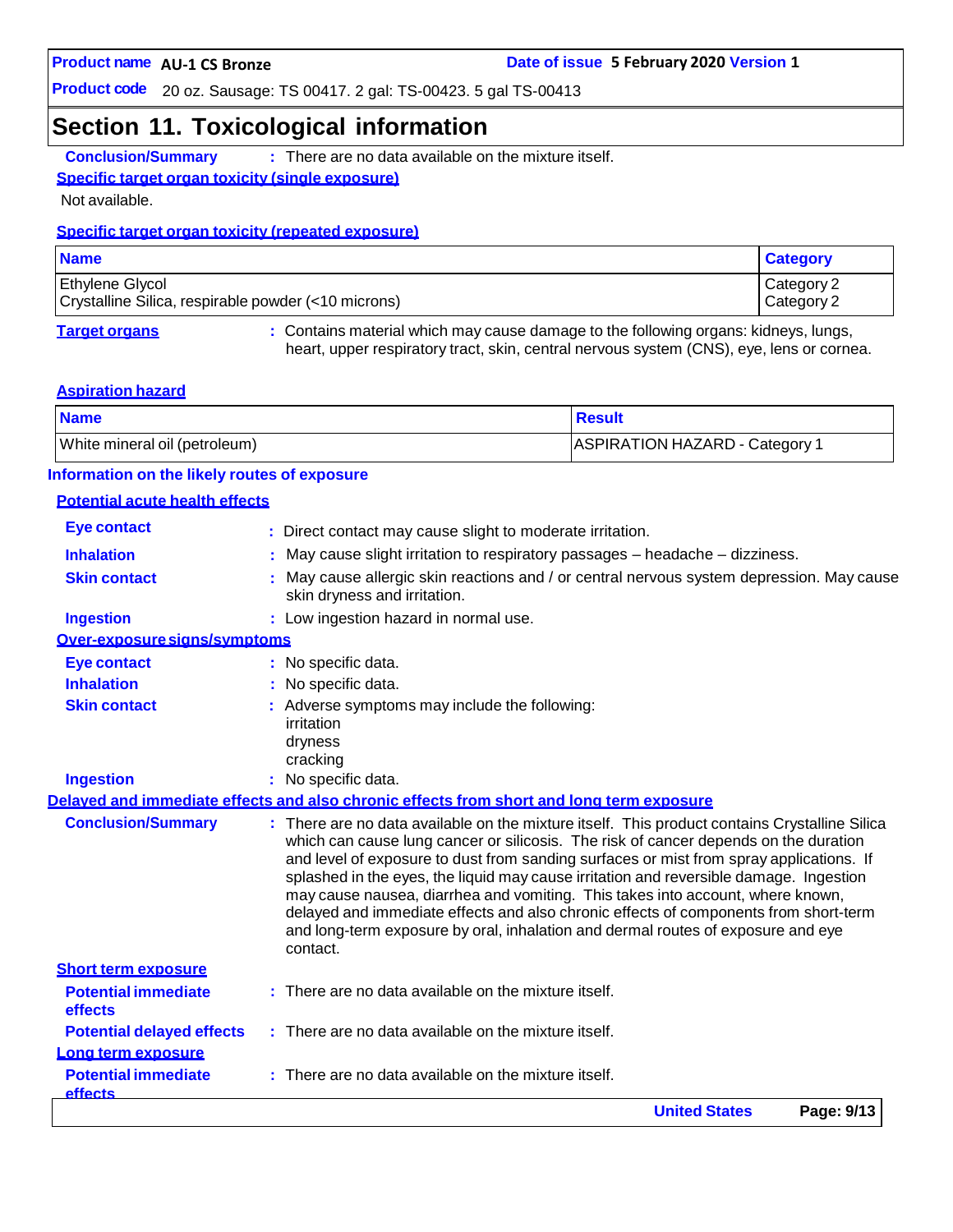### **Section 11. Toxicological information**

**Conclusion/Summary :** There are no data available on the mixture itself.

### **Specific target organ toxicity (single exposure)**

Not available.

### **Specific target organ toxicity (repeated exposure)**

| <b>Name</b>                                                                   | <b>Category</b>          |
|-------------------------------------------------------------------------------|--------------------------|
| <b>Ethylene Glycol</b><br>Crystalline Silica, respirable powder (<10 microns) | Category 2<br>Category 2 |
|                                                                               |                          |

**Target organs :** Contains material which may cause damage to the following organs: kidneys, lungs, heart, upper respiratory tract, skin, central nervous system (CNS), eye, lens or cornea.

#### **Aspiration hazard**

| <b>Name</b>                   | <b>Result</b>                  |
|-------------------------------|--------------------------------|
| White mineral oil (petroleum) | ASPIRATION HAZARD - Category 1 |

### **Information on the likely routes of exposure**

#### **Potential acute health effects**

|                                              | <b>United States</b><br>Page: 9/13                                                                                                                                                                                                                                                                                                                                                                                                                                                                                                                                                                                                       |
|----------------------------------------------|------------------------------------------------------------------------------------------------------------------------------------------------------------------------------------------------------------------------------------------------------------------------------------------------------------------------------------------------------------------------------------------------------------------------------------------------------------------------------------------------------------------------------------------------------------------------------------------------------------------------------------------|
| <b>Potential immediate</b><br><b>effects</b> | There are no data available on the mixture itself.                                                                                                                                                                                                                                                                                                                                                                                                                                                                                                                                                                                       |
| Long term exposure                           |                                                                                                                                                                                                                                                                                                                                                                                                                                                                                                                                                                                                                                          |
| <b>Potential delayed effects</b>             | : There are no data available on the mixture itself.                                                                                                                                                                                                                                                                                                                                                                                                                                                                                                                                                                                     |
| effects                                      |                                                                                                                                                                                                                                                                                                                                                                                                                                                                                                                                                                                                                                          |
| <b>Potential immediate</b>                   | $:$ There are no data available on the mixture itself.                                                                                                                                                                                                                                                                                                                                                                                                                                                                                                                                                                                   |
| <b>Short term exposure</b>                   | contact.                                                                                                                                                                                                                                                                                                                                                                                                                                                                                                                                                                                                                                 |
| <b>Conclusion/Summary</b>                    | : There are no data available on the mixture itself. This product contains Crystalline Silica<br>which can cause lung cancer or silicosis. The risk of cancer depends on the duration<br>and level of exposure to dust from sanding surfaces or mist from spray applications. If<br>splashed in the eyes, the liquid may cause irritation and reversible damage. Ingestion<br>may cause nausea, diarrhea and vomiting. This takes into account, where known,<br>delayed and immediate effects and also chronic effects of components from short-term<br>and long-term exposure by oral, inhalation and dermal routes of exposure and eye |
|                                              | Delaved and immediate effects and also chronic effects from short and long term exposure                                                                                                                                                                                                                                                                                                                                                                                                                                                                                                                                                 |
| <b>Ingestion</b>                             | : No specific data.                                                                                                                                                                                                                                                                                                                                                                                                                                                                                                                                                                                                                      |
|                                              | irritation<br>dryness<br>cracking                                                                                                                                                                                                                                                                                                                                                                                                                                                                                                                                                                                                        |
| <b>Skin contact</b>                          | : Adverse symptoms may include the following:                                                                                                                                                                                                                                                                                                                                                                                                                                                                                                                                                                                            |
| <b>Inhalation</b>                            | No specific data.                                                                                                                                                                                                                                                                                                                                                                                                                                                                                                                                                                                                                        |
| <b>Eye contact</b>                           | : No specific data.                                                                                                                                                                                                                                                                                                                                                                                                                                                                                                                                                                                                                      |
| Over-exposure signs/symptoms                 |                                                                                                                                                                                                                                                                                                                                                                                                                                                                                                                                                                                                                                          |
| <b>Ingestion</b>                             | : Low ingestion hazard in normal use.                                                                                                                                                                                                                                                                                                                                                                                                                                                                                                                                                                                                    |
| <b>Skin contact</b>                          | May cause allergic skin reactions and / or central nervous system depression. May cause<br>skin dryness and irritation.                                                                                                                                                                                                                                                                                                                                                                                                                                                                                                                  |
| <b>Inhalation</b>                            | May cause slight irritation to respiratory passages - headache - dizziness.                                                                                                                                                                                                                                                                                                                                                                                                                                                                                                                                                              |
| <b>Eye contact</b>                           | : Direct contact may cause slight to moderate irritation.                                                                                                                                                                                                                                                                                                                                                                                                                                                                                                                                                                                |
|                                              |                                                                                                                                                                                                                                                                                                                                                                                                                                                                                                                                                                                                                                          |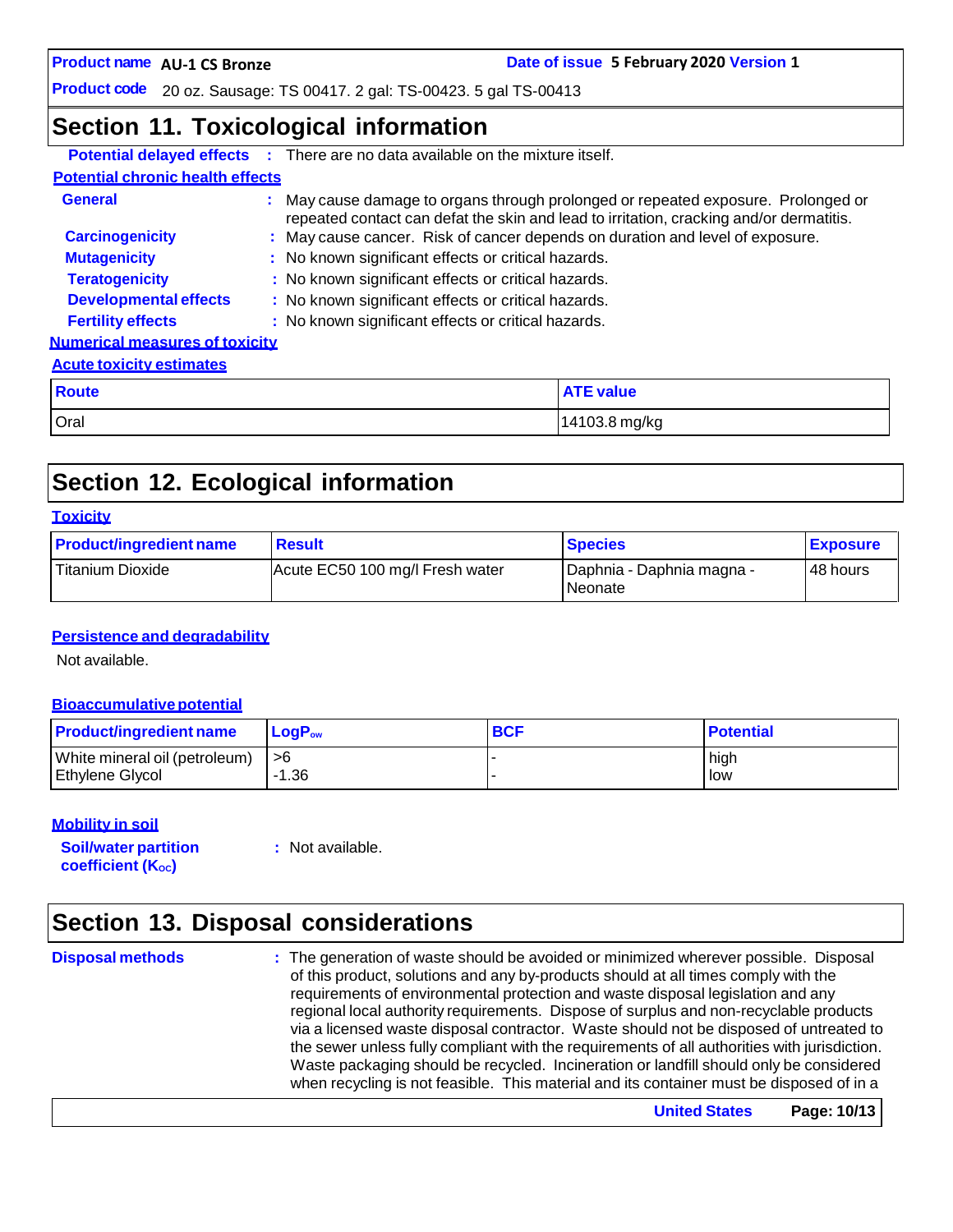**AU-1 CS Bronze Date of issue 5 February 2020 Version 1**

**Product code** 20 oz. Sausage: TS 00417. 2 gal: TS-00423. 5 gal TS-00413

### **Section 11. Toxicological information**

|                                         | <b>Potential delayed effects :</b> There are no data available on the mixture itself. |                                                                                                                                                                              |  |  |
|-----------------------------------------|---------------------------------------------------------------------------------------|------------------------------------------------------------------------------------------------------------------------------------------------------------------------------|--|--|
| <b>Potential chronic health effects</b> |                                                                                       |                                                                                                                                                                              |  |  |
| <b>General</b>                          |                                                                                       | : May cause damage to organs through prolonged or repeated exposure. Prolonged or<br>repeated contact can defat the skin and lead to irritation, cracking and/or dermatitis. |  |  |
| <b>Carcinogenicity</b>                  |                                                                                       | : May cause cancer. Risk of cancer depends on duration and level of exposure.                                                                                                |  |  |
| <b>Mutagenicity</b>                     |                                                                                       | : No known significant effects or critical hazards.                                                                                                                          |  |  |
| <b>Teratogenicity</b>                   | : No known significant effects or critical hazards.                                   |                                                                                                                                                                              |  |  |
| <b>Developmental effects</b>            | : No known significant effects or critical hazards.                                   |                                                                                                                                                                              |  |  |
| <b>Fertility effects</b>                | : No known significant effects or critical hazards.                                   |                                                                                                                                                                              |  |  |
| <b>Numerical measures of toxicity</b>   |                                                                                       |                                                                                                                                                                              |  |  |
| <b>Acute toxicity estimates</b>         |                                                                                       |                                                                                                                                                                              |  |  |
| <b>Route</b>                            |                                                                                       | <b>ATE value</b>                                                                                                                                                             |  |  |
| Oral                                    |                                                                                       | 14103.8 mg/kg                                                                                                                                                                |  |  |

# **Section 12. Ecological information**

### **Toxicity**

| <b>Product/ingredient name</b> | <b>Result</b>                   | <b>Species</b>                         | <b>Exposure</b> |
|--------------------------------|---------------------------------|----------------------------------------|-----------------|
| Titanium Dioxide               | Acute EC50 100 mg/l Fresh water | I Daphnia - Daphnia magna -<br>Neonate | 48 hours        |

### **Persistence and degradability**

Not available.

### **Bioaccumulative potential**

| <b>Product/ingredient name</b> | $LoaPow$ | <b>BCF</b> | <b>Potential</b> |
|--------------------------------|----------|------------|------------------|
| White mineral oil (petroleum)  | l >6     |            | high             |
| Ethylene Glycol                | -1.36    |            | low              |

### **Mobility in soil**

**Soil/water partition coefficient** (K<sub>oc</sub>)

**:** Not available.

# **Section 13. Disposal considerations**

**Disposal methods :** The generation of waste should be avoided or minimized wherever possible. Disposal of this product, solutions and any by-products should at all times comply with the requirements of environmental protection and waste disposal legislation and any regional local authority requirements. Dispose of surplus and non-recyclable products via a licensed waste disposal contractor. Waste should not be disposed of untreated to the sewer unless fully compliant with the requirements of all authorities with jurisdiction. Waste packaging should be recycled. Incineration or landfill should only be considered when recycling is not feasible. This material and its container must be disposed of in a

**United States Page: 10/13**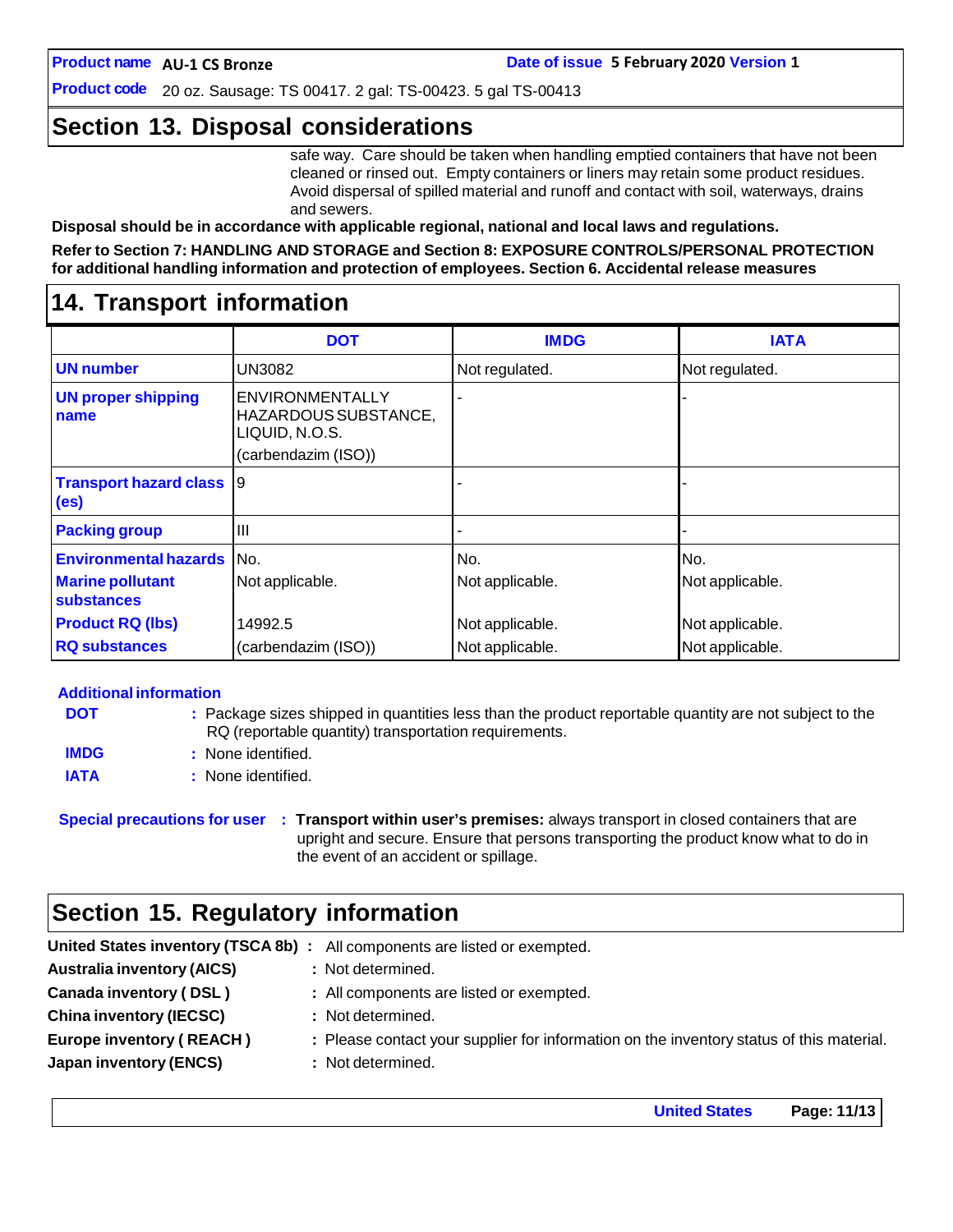**Product code** 20 oz. Sausage: TS 00417. 2 gal: TS-00423. 5 gal TS-00413

### **Section 13. Disposal considerations**

safe way. Care should be taken when handling emptied containers that have not been cleaned or rinsed out. Empty containers or liners may retain some product residues. Avoid dispersal of spilled material and runoff and contact with soil, waterways, drains and sewers.

**Disposal should be in accordance with applicable regional, national and local laws and regulations.**

**Refer to Section 7: HANDLING AND STORAGE and Section 8: EXPOSURE CONTROLS/PERSONAL PROTECTION for additional handling information and protection of employees. Section 6. Accidental release measures**

### **14. Transport information**

|                                                    | <b>DOT</b>                                                                       | <b>IMDG</b>     | <b>IATA</b>     |
|----------------------------------------------------|----------------------------------------------------------------------------------|-----------------|-----------------|
| <b>UN</b> number                                   | <b>UN3082</b>                                                                    | Not regulated.  | Not regulated.  |
| <b>UN proper shipping</b><br>name                  | ENVIRONMENTALLY<br>HAZARDOUS SUBSTANCE,<br>LIQUID, N.O.S.<br>(carbendazim (ISO)) |                 |                 |
| <b>Transport hazard class</b><br>(e <sub>s</sub> ) | Ι9                                                                               |                 |                 |
| <b>Packing group</b>                               | Ш                                                                                |                 |                 |
| <b>Environmental hazards</b>                       | No.                                                                              | No.             | No.             |
| <b>Marine pollutant</b><br><b>substances</b>       | Not applicable.                                                                  | Not applicable. | Not applicable. |
| <b>Product RQ (lbs)</b>                            | 14992.5                                                                          | Not applicable. | Not applicable. |
| <b>RQ substances</b>                               | (carbendazim (ISO))                                                              | Not applicable. | Not applicable. |

### **Additional information**

| <b>DOT</b>  | : Package sizes shipped in quantities less than the product reportable quantity are not subject to the |
|-------------|--------------------------------------------------------------------------------------------------------|
|             | RQ (reportable quantity) transportation requirements.                                                  |
| <b>IMDG</b> | : None identified.                                                                                     |
| <b>IATA</b> | : None identified.                                                                                     |

**Special precautions for user : Transport within user's premises:** always transport in closed containers that are upright and secure. Ensure that persons transporting the product know what to do in the event of an accident or spillage.

### **Section 15. Regulatory information**

| <b>Australia inventory (AICS)</b><br>: Not determined.                                                                      |  |
|-----------------------------------------------------------------------------------------------------------------------------|--|
| Canada inventory (DSL)<br>: All components are listed or exempted.                                                          |  |
| <b>China inventory (IECSC)</b><br>: Not determined.                                                                         |  |
| <b>Europe inventory (REACH)</b><br>: Please contact your supplier for information on the inventory status of this material. |  |
| <b>Japan inventory (ENCS)</b><br>: Not determined.                                                                          |  |

**United States Page: 11/13**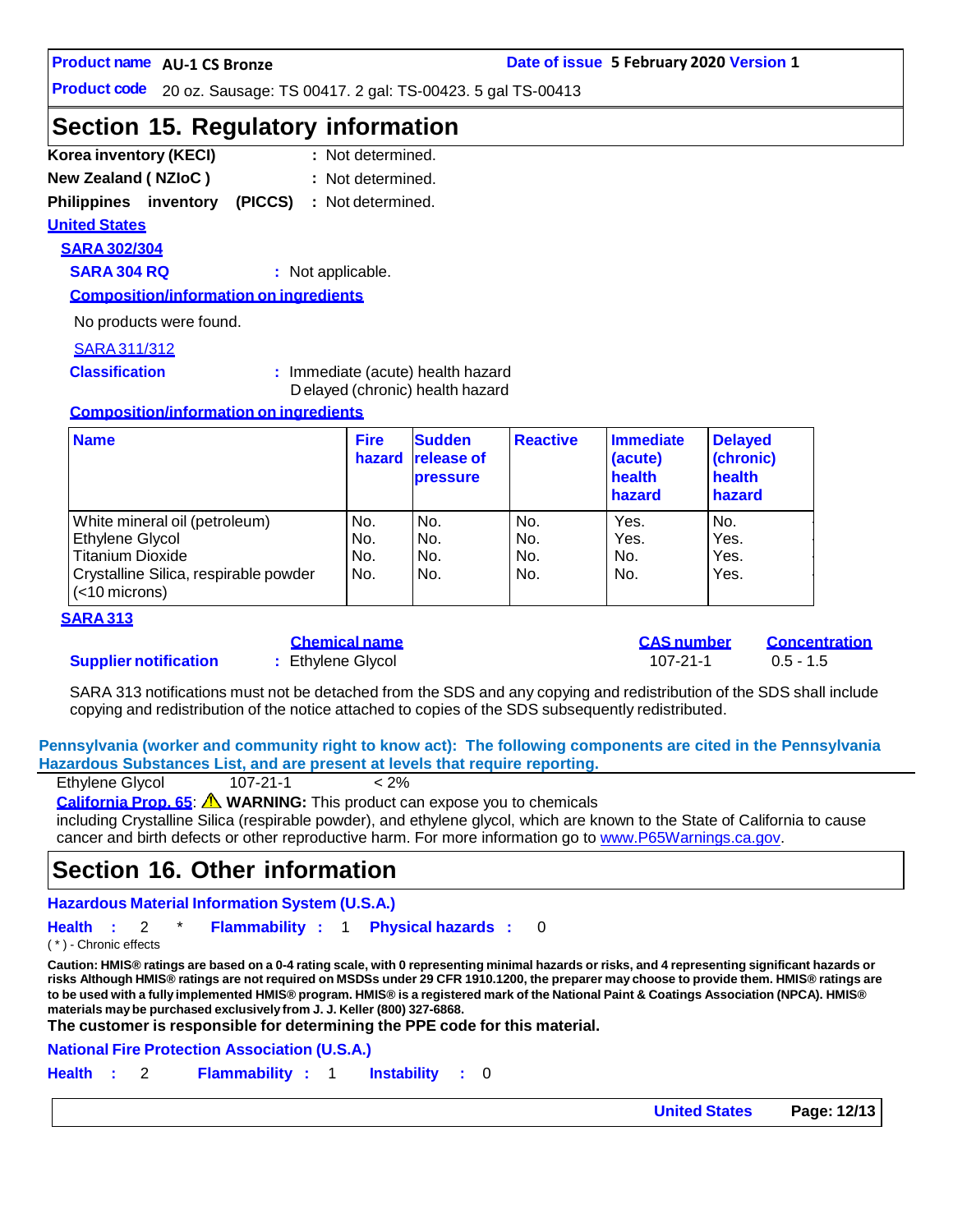**Product code** 20 oz. Sausage: TS 00417. 2 gal: TS-00423. 5 gal TS-00413

# **Section 15. Regulatory information**

- **Korea inventory (KECI) : New Zealand ( NZIoC ) :** : Not determined.
- : Not determined.

**Philippines inventory (PICCS) :** Not determined.

### **United States**

**SARA 302/304**

**SARA 304 RQ :** Not applicable.

**Composition/information on ingredients**

No products were found.

#### SARA311/312

**Classification :** Immediate (acute) health hazard D elayed (chronic) health hazard

#### **Composition/information on ingredients**

| <b>Name</b>                                               | <b>Fire</b><br>hazard | <b>Sudden</b><br><b>release of</b><br><b>pressure</b> | <b>Reactive</b> | Immediate<br>(acute)<br>health<br>hazard | <b>Delayed</b><br>(chronic)<br>health<br>hazard |
|-----------------------------------------------------------|-----------------------|-------------------------------------------------------|-----------------|------------------------------------------|-------------------------------------------------|
| White mineral oil (petroleum)                             | No.                   | No.                                                   | No.             | Yes.                                     | No.                                             |
| Ethylene Glycol                                           | No.                   | No.                                                   | No.             | Yes.                                     | Yes.                                            |
| <b>Titanium Dioxide</b>                                   | No.                   | No.                                                   | No.             | No.                                      | Yes.                                            |
| Crystalline Silica, respirable powder<br>$(<$ 10 microns) | No.                   | No.                                                   | No.             | No.                                      | Yes.                                            |

#### **SARA 313**

### **Supplier notification :** Ethylene Glycol 107-21-1 0.5 - 1.5

|  | GHEINGA HANG    |  |  |
|--|-----------------|--|--|
|  | Fthylene Glycol |  |  |

**Chemical name CAS number Concentration**

SARA 313 notifications must not be detached from the SDS and any copying and redistribution of the SDS shall include copying and redistribution of the notice attached to copies of the SDS subsequently redistributed.

**Pennsylvania (worker and community right to know act): The following components are cited in the Pennsylvania Hazardous Substances List, and are present at levels that require reporting.**

| Ethylene Glycol | $107 - 21 - 1$ | $< 2\%$ |
|-----------------|----------------|---------|
|                 |                |         |

**California Prop. 65**: **WARNING:** This product can expose you to chemicals

including Crystalline Silica (respirable powder), and ethylene glycol, which are known to the State of California to cause cancer and birth defects or other reproductive harm. For more information go to [www.P65Warnings.ca.gov.](http://www.p65warnings.ca.gov/)

### **Section 16. Other information**

**Hazardous Material Information System (U.S.A.)**

**Health :** 2 \* **Flammability :** 1 **Physical hazards :** 0

( \* ) - Chronic effects

Caution: HMIS® ratings are based on a 0-4 rating scale, with 0 representing minimal hazards or risks, and 4 representing significant hazards or risks Although HMIS® ratings are not required on MSDSs under 29 CFR 1910.1200, the preparer may choose to provide them. HMIS® ratings are to be used with a fully implemented HMIS® program. HMIS® is a registered mark of the National Paint & Coatings Association (NPCA). HMIS® **materials maybe purchased exclusively from J. J. Keller (800) 327-6868.**

**The customer is responsible for determining the PPE code for this material.**

**National Fire Protection Association (U.S.A.)**

**Health :** 2 **Flammability :** 1 **Instability :** 0

**United States Page: 12/13**